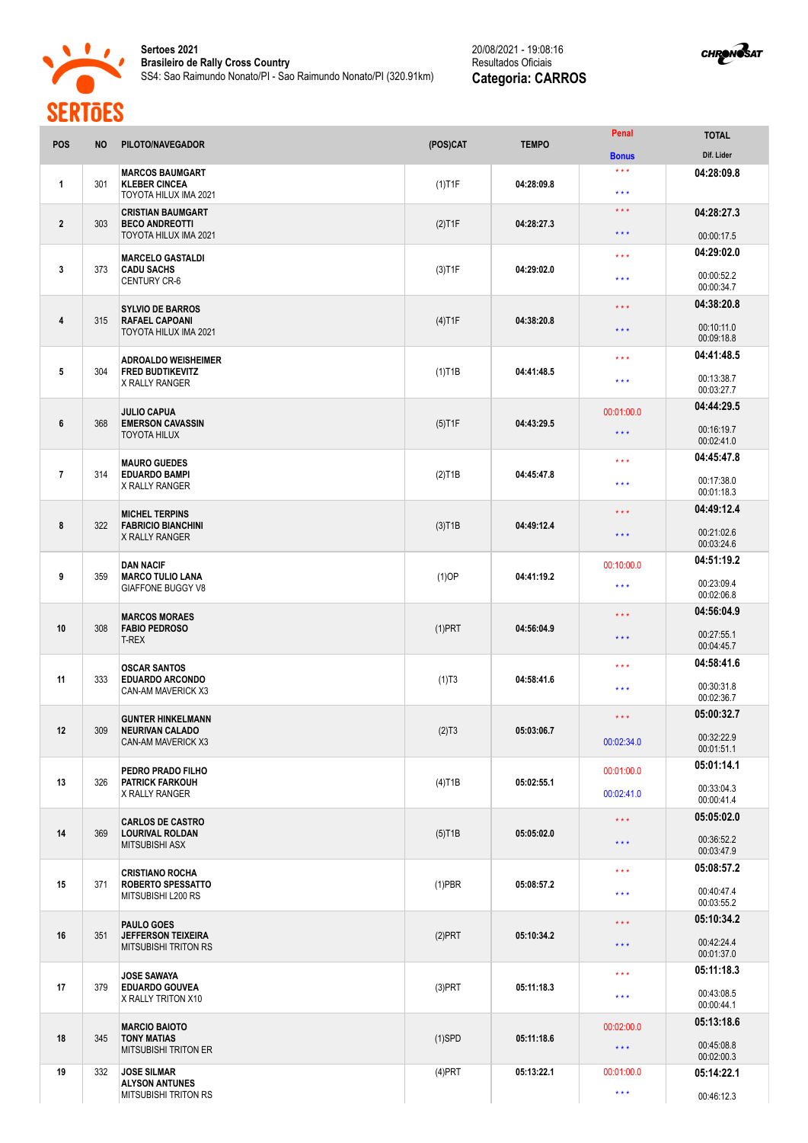



| <b>POS</b>     | <b>NO</b> | PILOTO/NAVEGADOR                                                              | (POS)CAT               | <b>TEMPO</b> | Penal                   | <b>TOTAL</b>             |
|----------------|-----------|-------------------------------------------------------------------------------|------------------------|--------------|-------------------------|--------------------------|
|                |           |                                                                               |                        |              | <b>Bonus</b>            | Dif. Lider               |
| $\mathbf{1}$   | 301       | <b>MARCOS BAUMGART</b><br><b>KLEBER CINCEA</b><br>TOYOTA HILUX IMA 2021       | $(1)$ T1F              | 04:28:09.8   | $***$<br>$* * *$        | 04:28:09.8               |
| $\overline{2}$ | 303       | <b>CRISTIAN BAUMGART</b><br><b>BECO ANDREOTTI</b>                             | $(2)$ T1F              | 04:28:27.3   | $* * *$                 | 04:28:27.3               |
|                |           | TOYOTA HILUX IMA 2021                                                         |                        |              | $***$                   | 00:00:17.5               |
| 3              | 373       | <b>MARCELO GASTALDI</b><br><b>CADU SACHS</b><br><b>CENTURY CR-6</b>           | $(3)$ T1F              | 04:29:02.0   | $* * *$                 | 04:29:02.0<br>00:00:52.2 |
|                |           |                                                                               |                        |              | $* * *$                 | 00:00:34.7               |
|                |           | <b>SYLVIO DE BARROS</b>                                                       |                        | 04:38:20.8   | $\star \star \star$     | 04:38:20.8               |
| 4              | 315       | <b>RAFAEL CAPOANI</b><br>TOYOTA HILUX IMA 2021                                | $(4)$ T1F              |              | $\star \star \star$     | 00:10:11.0<br>00:09:18.8 |
|                |           | <b>ADROALDO WEISHEIMER</b>                                                    |                        |              | $\star \star \star$     | 04:41:48.5               |
| 5              | 304       | <b>FRED BUDTIKEVITZ</b><br>X RALLY RANGER                                     | $(1)$ T1B              | 04:41:48.5   | $***$                   | 00:13:38.7<br>00:03:27.7 |
|                |           | <b>JULIO CAPUA</b><br><b>EMERSON CAVASSIN</b><br><b>TOYOTA HILUX</b>          | $(5)$ T1F              | 04:43:29.5   | 00:01:00.0              | 04:44:29.5               |
| 6              | 368       |                                                                               |                        |              | $\star \star \star$     | 00:16:19.7<br>00:02:41.0 |
|                |           |                                                                               |                        |              | $* * *$                 | 04:45:47.8               |
| $\overline{7}$ | 314       | <b>MAURO GUEDES</b><br><b>EDUARDO BAMPI</b><br>X RALLY RANGER                 | $(2)$ T1B              | 04:45:47.8   |                         |                          |
|                |           |                                                                               |                        |              | $* * *$                 | 00:17:38.0<br>00:01:18.3 |
|                |           | <b>MICHEL TERPINS</b>                                                         |                        |              | $\star \star \star$     | 04:49:12.4               |
| 8              | 322       | <b>FABRICIO BIANCHINI</b><br>X RALLY RANGER                                   | $(3)$ T <sub>1</sub> B | 04:49:12.4   | $* * *$                 | 00:21:02.6<br>00:03:24.6 |
|                |           | <b>DAN NACIF</b><br><b>MARCO TULIO LANA</b><br><b>GIAFFONE BUGGY V8</b>       |                        |              | 00:10:00.0              | 04:51:19.2               |
| 9              | 359       |                                                                               | $(1)$ OP               | 04:41:19.2   | $***$                   | 00:23:09.4<br>00:02:06.8 |
|                |           |                                                                               |                        |              | $\star \star \star$     | 04:56:04.9               |
| 10             | 308       | <b>MARCOS MORAES</b><br><b>FABIO PEDROSO</b><br><b>T-REX</b>                  | $(1)$ PRT              | 04:56:04.9   | $***$                   | 00:27:55.1<br>00:04:45.7 |
|                |           | <b>OSCAR SANTOS</b>                                                           |                        |              | $***$                   | 04:58:41.6               |
| 11             | 333       | <b>EDUARDO ARCONDO</b><br>CAN-AM MAVERICK X3                                  | (1)T3                  | 04:58:41.6   | $* * *$                 | 00:30:31.8<br>00:02:36.7 |
|                |           |                                                                               |                        |              |                         | 05:00:32.7               |
| $12 \,$        | 309       | <b>GUNTER HINKELMANN</b><br><b>NEURIVAN CALADO</b><br>CAN-AM MAVERICK X3      | (2)T3                  | 05:03:06.7   | $\star \star \star$     |                          |
|                |           |                                                                               |                        |              | 00:02:34.0              | 00:32:22.9<br>00:01:51.1 |
|                |           | PEDRO PRADO FILHO                                                             |                        | 05:02:55.1   | 00:01:00.0              | 05:01:14.1               |
| 13             | 326       | <b>PATRICK FARKOUH</b><br>X RALLY RANGER                                      | $(4)$ T1B              |              | 00:02:41.0              | 00:33:04.3<br>00:00:41.4 |
|                |           | <b>CARLOS DE CASTRO</b>                                                       |                        |              | $\star$ $\star$ $\star$ | 05:05:02.0               |
| 14             | 369       | <b>LOURIVAL ROLDAN</b><br><b>MITSUBISHI ASX</b>                               | $(5)$ T1B              | 05:05:02.0   | $\star$ $\star$ $\star$ | 00:36:52.2<br>00:03:47.9 |
|                |           |                                                                               |                        |              | $\star \star \star$     | 05:08:57.2               |
| 15             | 371       | <b>CRISTIANO ROCHA</b><br><b>ROBERTO SPESSATTO</b><br>MITSUBISHI L200 RS      | $(1)$ PBR              | 05:08:57.2   | $\star\star\star$       | 00:40:47.4               |
|                |           |                                                                               |                        |              |                         | 00:03:55.2               |
| 16             | 351       | <b>PAULO GOES</b><br><b>JEFFERSON TEIXEIRA</b><br><b>MITSUBISHI TRITON RS</b> | $(2)$ PRT              | 05:10:34.2   | $\star$ $\star$ $\star$ | 05:10:34.2               |
|                |           |                                                                               |                        |              | $\star \star \star$     | 00:42:24.4<br>00:01:37.0 |
|                | 379       | <b>JOSE SAWAYA</b><br><b>EDUARDO GOUVEA</b><br>X RALLY TRITON X10             | $(3)$ PRT              | 05:11:18.3   | $\star \star \star$     | 05:11:18.3               |
| 17             |           |                                                                               |                        |              | $\star\star\star$       | 00:43:08.5<br>00:00:44.1 |
|                | 345       | <b>MARCIO BAIOTO</b><br><b>TONY MATIAS</b><br><b>MITSUBISHI TRITON ER</b>     | $(1)$ SPD              | 05:11:18.6   | 00:02:00.0              | 05:13:18.6               |
| 18             |           |                                                                               |                        |              | $\star\star\star$       | 00:45:08.8<br>00:02:00.3 |
| 19             | 332       | <b>JOSE SILMAR</b>                                                            | $(4)$ PRT              | 05:13:22.1   | 00:01:00.0              | 05:14:22.1               |
|                |           | <b>ALYSON ANTUNES</b><br><b>MITSUBISHI TRITON RS</b>                          |                        |              | $\star\star\star$       | 00:46:12.3               |